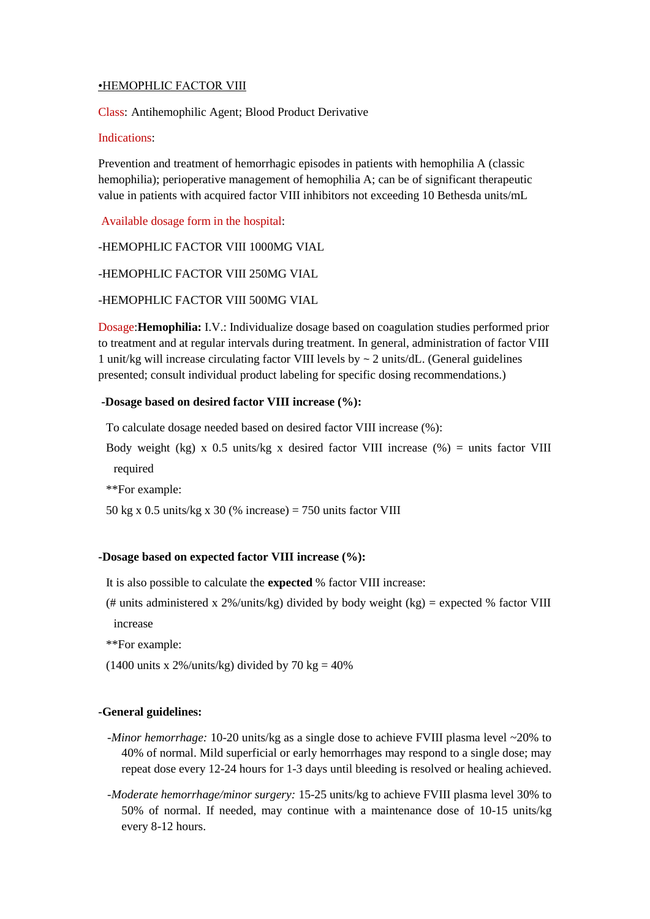# •HEMOPHLIC FACTOR VIII

Class: [Antihemophilic Agent;](http://online.lexi.com/lco/action/search/pharmacat/patch_f?q=Antihemophilic+Agent) [Blood Product Derivative](http://online.lexi.com/lco/action/search/pharmacat/patch_f?q=Blood+Product+Derivative)

# Indications:

Prevention and treatment of hemorrhagic episodes in patients with hemophilia A (classic hemophilia); perioperative management of hemophilia A; can be of significant therapeutic value in patients with acquired factor VIII inhibitors not exceeding 10 Bethesda units/mL

Available dosage form in the hospital:

-HEMOPHLIC FACTOR VIII 1000MG VIAL

-HEMOPHLIC FACTOR VIII 250MG VIAL

-HEMOPHLIC FACTOR VIII 500MG VIAL

Dosage:**Hemophilia:** I.V.: Individualize dosage based on coagulation studies performed prior to treatment and at regular intervals during treatment. In general, administration of factor VIII 1 unit/kg will increase circulating factor VIII levels by ~ 2 units/dL. (General guidelines presented; consult individual product labeling for specific dosing recommendations.)

## **-Dosage based on desired factor VIII increase (%):**

To calculate dosage needed based on desired factor VIII increase (%):

Body weight (kg) x 0.5 units/kg x desired factor VIII increase (%) = units factor VIII required

\*\*For example:

50 kg x 0.5 units/kg x 30 (% increase) = 750 units factor VIII

# **-Dosage based on expected factor VIII increase (%):**

It is also possible to calculate the **expected** % factor VIII increase:

(# units administered x 2%/units/kg) divided by body weight (kg) = expected % factor VIII increase

- \*\*For example:
- (1400 units x 2%/units/kg) divided by 70 kg =  $40\%$

# **-General guidelines:**

- *-Minor hemorrhage:* 10-20 units/kg as a single dose to achieve FVIII plasma level ~20% to 40% of normal. Mild superficial or early hemorrhages may respond to a single dose; may repeat dose every 12-24 hours for 1-3 days until bleeding is resolved or healing achieved.
- *-Moderate hemorrhage/minor surgery:* 15-25 units/kg to achieve FVIII plasma level 30% to 50% of normal. If needed, may continue with a maintenance dose of 10-15 units/kg every 8-12 hours.